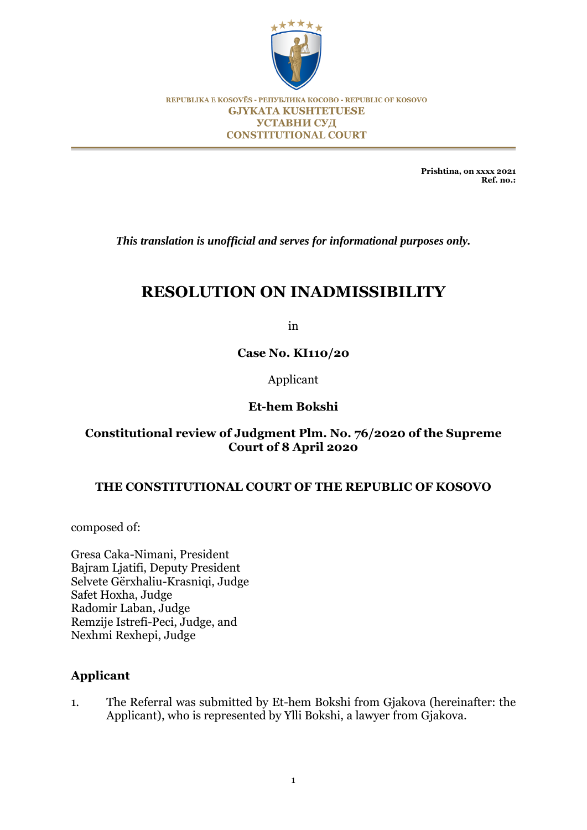

REPUBLIKA E KOSOVËS - РЕПУБЛИКА КОСОВО - REPUBLIC OF KOSOVO **GJYKATA KUSHTETUESE УСТАВНИ СУД CONSTITUTIONAL COURT** 

> **Prishtina, on xxxx 2021 Ref. no.:**

*This translation is unofficial and serves for informational purposes only.*

# **RESOLUTION ON INADMISSIBILITY**

in

**Case No. KI110/20**

Applicant

# **Et-hem Bokshi**

# **Constitutional review of Judgment Plm. No. 76/2020 of the Supreme Court of 8 April 2020**

# **THE CONSTITUTIONAL COURT OF THE REPUBLIC OF KOSOVO**

composed of:

Gresa Caka-Nimani, President Bajram Ljatifi, Deputy President Selvete Gërxhaliu-Krasniqi, Judge Safet Hoxha, Judge Radomir Laban, Judge Remzije Istrefi-Peci, Judge, and Nexhmi Rexhepi, Judge

# **Applicant**

1. The Referral was submitted by Et-hem Bokshi from Gjakova (hereinafter: the Applicant), who is represented by Ylli Bokshi, a lawyer from Gjakova.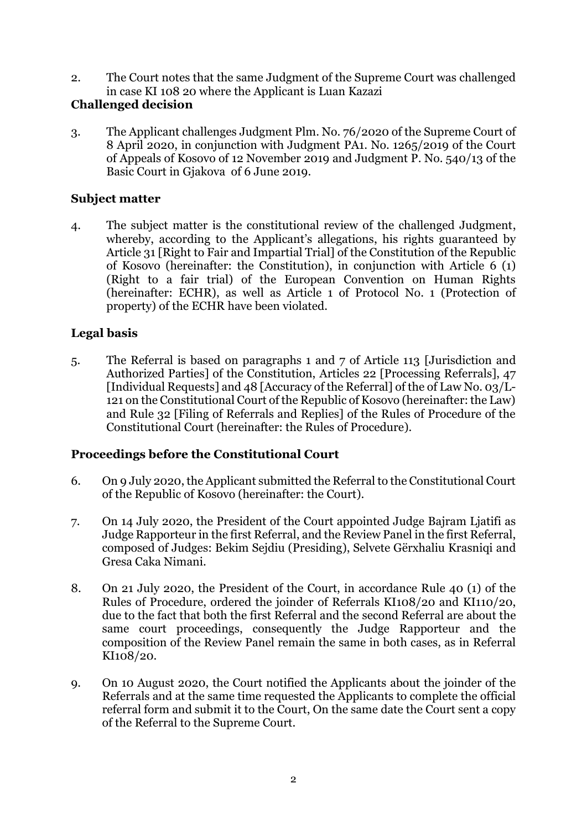2. The Court notes that the same Judgment of the Supreme Court was challenged in case KI 108 20 where the Applicant is Luan Kazazi

# **Challenged decision**

3. The Applicant challenges Judgment Plm. No. 76/2020 of the Supreme Court of 8 April 2020, in conjunction with Judgment PA1. No. 1265/2019 of the Court of Appeals of Kosovo of 12 November 2019 and Judgment P. No. 540/13 of the Basic Court in Gjakova of 6 June 2019.

# **Subject matter**

4. The subject matter is the constitutional review of the challenged Judgment, whereby, according to the Applicant's allegations, his rights guaranteed by Article 31 [Right to Fair and Impartial Trial] of the Constitution of the Republic of Kosovo (hereinafter: the Constitution), in conjunction with Article 6 (1) (Right to a fair trial) of the European Convention on Human Rights (hereinafter: ECHR), as well as Article 1 of Protocol No. 1 (Protection of property) of the ECHR have been violated.

# **Legal basis**

5. The Referral is based on paragraphs 1 and 7 of Article 113 [Jurisdiction and Authorized Parties] of the Constitution, Articles 22 [Processing Referrals], 47 [Individual Requests] and 48 [Accuracy of the Referral] of the of Law No. 03/L-121 on the Constitutional Court of the Republic of Kosovo (hereinafter: the Law) and Rule 32 [Filing of Referrals and Replies] of the Rules of Procedure of the Constitutional Court (hereinafter: the Rules of Procedure).

# **Proceedings before the Constitutional Court**

- 6. On 9 July 2020, the Applicant submitted the Referral to the Constitutional Court of the Republic of Kosovo (hereinafter: the Court).
- 7. On 14 July 2020, the President of the Court appointed Judge Bajram Ljatifi as Judge Rapporteur in the first Referral, and the Review Panel in the first Referral, composed of Judges: Bekim Sejdiu (Presiding), Selvete Gërxhaliu Krasniqi and Gresa Caka Nimani.
- 8. On 21 July 2020, the President of the Court, in accordance Rule 40 (1) of the Rules of Procedure, ordered the joinder of Referrals KI108/20 and KI110/20, due to the fact that both the first Referral and the second Referral are about the same court proceedings, consequently the Judge Rapporteur and the composition of the Review Panel remain the same in both cases, as in Referral KI108/20.
- 9. On 10 August 2020, the Court notified the Applicants about the joinder of the Referrals and at the same time requested the Applicants to complete the official referral form and submit it to the Court, On the same date the Court sent a copy of the Referral to the Supreme Court.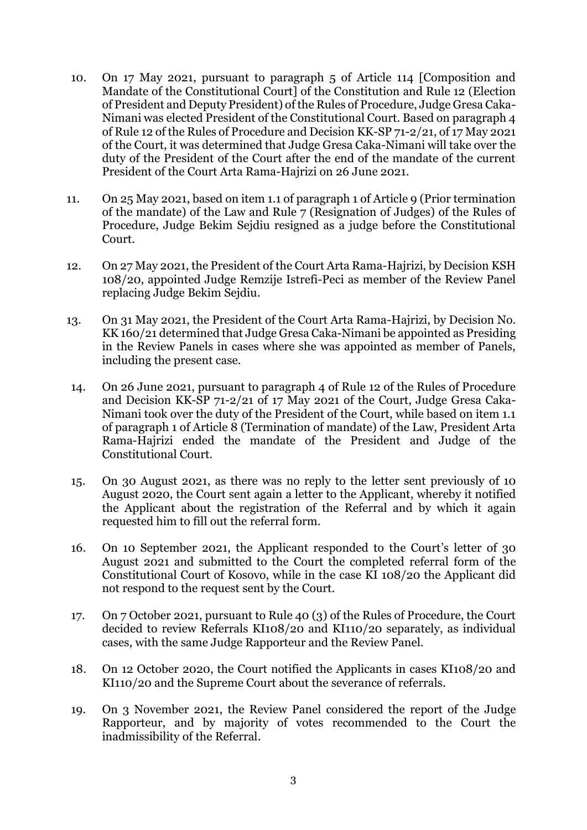- 10. On 17 May 2021, pursuant to paragraph 5 of Article 114 [Composition and Mandate of the Constitutional Court] of the Constitution and Rule 12 (Election of President and Deputy President) of the Rules of Procedure, Judge Gresa Caka-Nimani was elected President of the Constitutional Court. Based on paragraph 4 of Rule 12 of the Rules of Procedure and Decision KK-SP 71-2/21, of 17 May 2021 of the Court, it was determined that Judge Gresa Caka-Nimani will take over the duty of the President of the Court after the end of the mandate of the current President of the Court Arta Rama-Hajrizi on 26 June 2021.
- 11. On 25 May 2021, based on item 1.1 of paragraph 1 of Article 9 (Prior termination of the mandate) of the Law and Rule 7 (Resignation of Judges) of the Rules of Procedure, Judge Bekim Sejdiu resigned as a judge before the Constitutional Court.
- 12. On 27 May 2021, the President of the Court Arta Rama-Hajrizi, by Decision KSH 108/20, appointed Judge Remzije Istrefi-Peci as member of the Review Panel replacing Judge Bekim Sejdiu.
- 13. On 31 May 2021, the President of the Court Arta Rama-Hajrizi, by Decision No. KK 160/21 determined that Judge Gresa Caka-Nimani be appointed as Presiding in the Review Panels in cases where she was appointed as member of Panels, including the present case.
- 14. On 26 June 2021, pursuant to paragraph 4 of Rule 12 of the Rules of Procedure and Decision KK-SP 71-2/21 of 17 May 2021 of the Court, Judge Gresa Caka-Nimani took over the duty of the President of the Court, while based on item 1.1 of paragraph 1 of Article 8 (Termination of mandate) of the Law, President Arta Rama-Hajrizi ended the mandate of the President and Judge of the Constitutional Court.
- 15. On 30 August 2021, as there was no reply to the letter sent previously of 10 August 2020, the Court sent again a letter to the Applicant, whereby it notified the Applicant about the registration of the Referral and by which it again requested him to fill out the referral form.
- 16. On 10 September 2021, the Applicant responded to the Court's letter of 30 August 2021 and submitted to the Court the completed referral form of the Constitutional Court of Kosovo, while in the case KI 108/20 the Applicant did not respond to the request sent by the Court.
- 17. On 7 October 2021, pursuant to Rule 40 (3) of the Rules of Procedure, the Court decided to review Referrals KI108/20 and KI110/20 separately, as individual cases, with the same Judge Rapporteur and the Review Panel.
- 18. On 12 October 2020, the Court notified the Applicants in cases KI108/20 and KI110/20 and the Supreme Court about the severance of referrals.
- 19. On 3 November 2021, the Review Panel considered the report of the Judge Rapporteur, and by majority of votes recommended to the Court the inadmissibility of the Referral.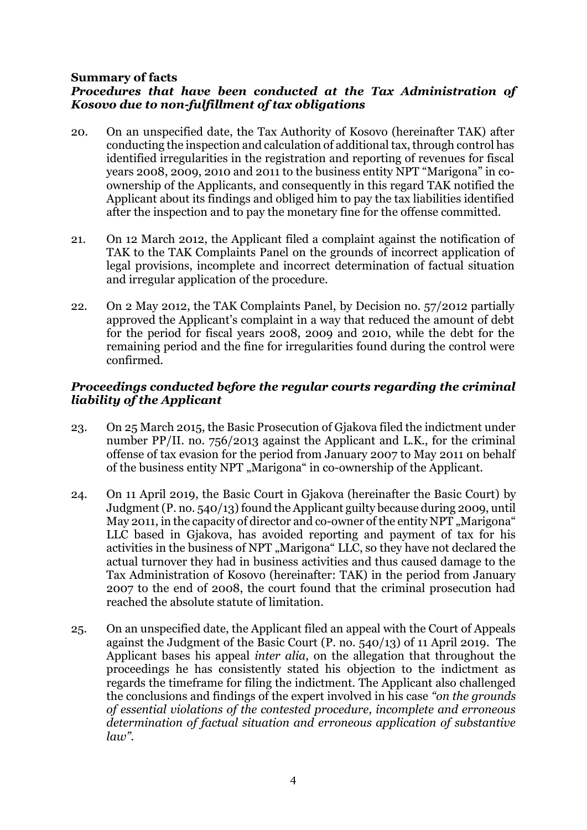#### **Summary of facts** *Procedures that have been conducted at the Tax Administration of Kosovo due to non-fulfillment of tax obligations*

- 20. On an unspecified date, the Tax Authority of Kosovo (hereinafter TAK) after conducting the inspection and calculation of additional tax, through control has identified irregularities in the registration and reporting of revenues for fiscal years 2008, 2009, 2010 and 2011 to the business entity NPT "Marigona" in coownership of the Applicants, and consequently in this regard TAK notified the Applicant about its findings and obliged him to pay the tax liabilities identified after the inspection and to pay the monetary fine for the offense committed.
- 21. On 12 March 2012, the Applicant filed a complaint against the notification of TAK to the TAK Complaints Panel on the grounds of incorrect application of legal provisions, incomplete and incorrect determination of factual situation and irregular application of the procedure.
- 22. On 2 May 2012, the TAK Complaints Panel, by Decision no. 57/2012 partially approved the Applicant's complaint in a way that reduced the amount of debt for the period for fiscal years 2008, 2009 and 2010, while the debt for the remaining period and the fine for irregularities found during the control were confirmed.

# *Proceedings conducted before the regular courts regarding the criminal liability of the Applicant*

- 23. On 25 March 2015, the Basic Prosecution of Gjakova filed the indictment under number PP/II. no. 756/2013 against the Applicant and L.K., for the criminal offense of tax evasion for the period from January 2007 to May 2011 on behalf of the business entity NPT "Marigona" in co-ownership of the Applicant.
- 24. On 11 April 2019, the Basic Court in Gjakova (hereinafter the Basic Court) by Judgment (P. no. 540/13) found the Applicant guilty because during 2009, until May 2011, in the capacity of director and co-owner of the entity NPT "Marigona" LLC based in Gjakova, has avoided reporting and payment of tax for his activities in the business of NPT "Marigona" LLC, so they have not declared the actual turnover they had in business activities and thus caused damage to the Tax Administration of Kosovo (hereinafter: TAK) in the period from January 2007 to the end of 2008, the court found that the criminal prosecution had reached the absolute statute of limitation.
- 25. On an unspecified date, the Applicant filed an appeal with the Court of Appeals against the Judgment of the Basic Court (P. no. 540/13) of 11 April 2019. The Applicant bases his appeal *inter alia*, on the allegation that throughout the proceedings he has consistently stated his objection to the indictment as regards the timeframe for filing the indictment. The Applicant also challenged the conclusions and findings of the expert involved in his case *"on the grounds of essential violations of the contested procedure, incomplete and erroneous determination of factual situation and erroneous application of substantive law".*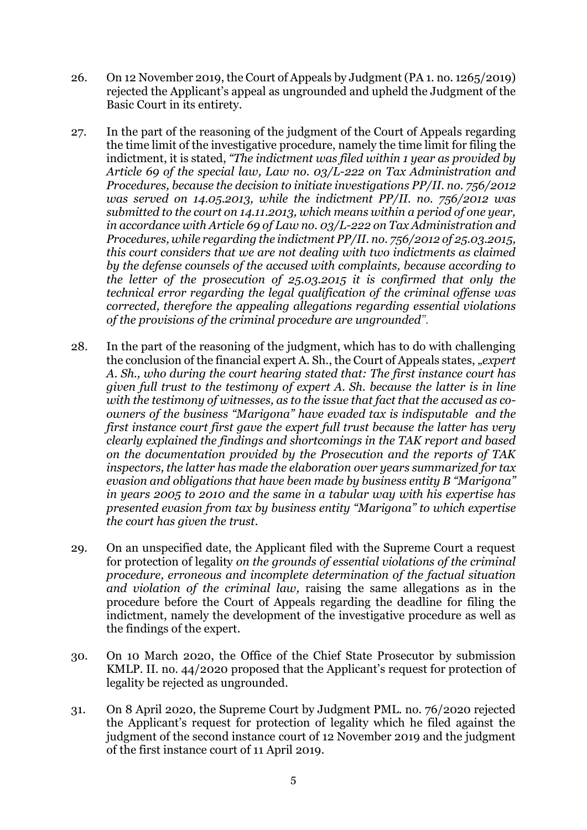- 26. On 12 November 2019, the Court of Appeals by Judgment (PA 1. no. 1265/2019) rejected the Applicant's appeal as ungrounded and upheld the Judgment of the Basic Court in its entirety.
- 27. In the part of the reasoning of the judgment of the Court of Appeals regarding the time limit of the investigative procedure, namely the time limit for filing the indictment, it is stated, *"The indictment was filed within 1 year as provided by Article 69 of the special law, Law no. 03/L-222 on Tax Administration and Procedures, because the decision to initiate investigations PP/II. no. 756/2012 was served on 14.05.2013, while the indictment PP/II. no. 756/2012 was submitted to the court on 14.11.2013, which means within a period of one year, in accordance with Article 69 of Law no. 03/L-222 on Tax Administration and Procedures, while regarding the indictment PP/II. no. 756/2012 of 25.03.2015, this court considers that we are not dealing with two indictments as claimed by the defense counsels of the accused with complaints, because according to the letter of the prosecution of 25.03.2015 it is confirmed that only the technical error regarding the legal qualification of the criminal offense was corrected, therefore the appealing allegations regarding essential violations of the provisions of the criminal procedure are ungrounded".*
- 28. In the part of the reasoning of the judgment, which has to do with challenging the conclusion of the financial expert A. Sh., the Court of Appeals states, "*expert A. Sh., who during the court hearing stated that: The first instance court has given full trust to the testimony of expert A. Sh. because the latter is in line with the testimony of witnesses, as to the issue that fact that the accused as coowners of the business "Marigona" have evaded tax is indisputable and the first instance court first gave the expert full trust because the latter has very clearly explained the findings and shortcomings in the TAK report and based on the documentation provided by the Prosecution and the reports of TAK inspectors, the latter has made the elaboration over years summarized for tax evasion and obligations that have been made by business entity B "Marigona" in years 2005 to 2010 and the same in a tabular way with his expertise has presented evasion from tax by business entity "Marigona" to which expertise the court has given the trust.*
- 29. On an unspecified date, the Applicant filed with the Supreme Court a request for protection of legality *on the grounds of essential violations of the criminal procedure, erroneous and incomplete determination of the factual situation and violation of the criminal law,* raising the same allegations as in the procedure before the Court of Appeals regarding the deadline for filing the indictment, namely the development of the investigative procedure as well as the findings of the expert.
- 30. On 10 March 2020, the Office of the Chief State Prosecutor by submission KMLP. II. no. 44/2020 proposed that the Applicant's request for protection of legality be rejected as ungrounded.
- 31. On 8 April 2020, the Supreme Court by Judgment PML. no. 76/2020 rejected the Applicant's request for protection of legality which he filed against the judgment of the second instance court of 12 November 2019 and the judgment of the first instance court of 11 April 2019.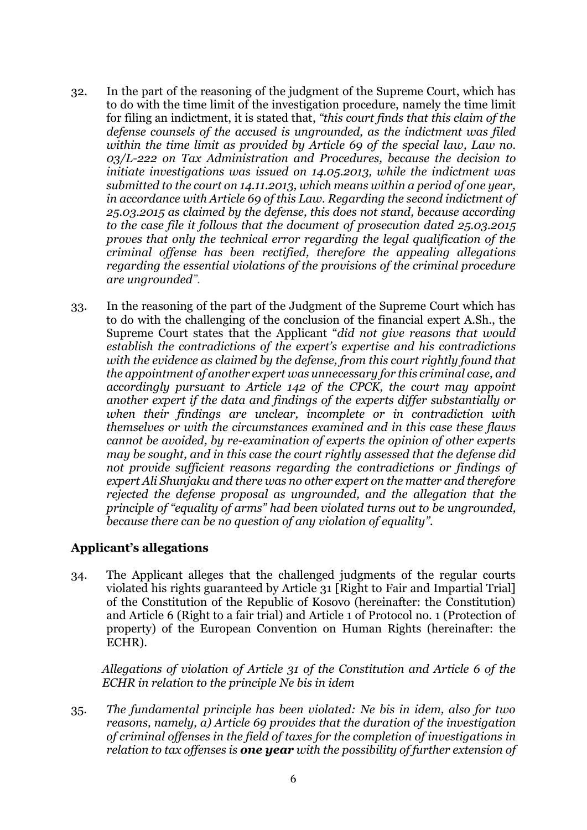- 32. In the part of the reasoning of the judgment of the Supreme Court, which has to do with the time limit of the investigation procedure, namely the time limit for filing an indictment, it is stated that, *"this court finds that this claim of the defense counsels of the accused is ungrounded, as the indictment was filed within the time limit as provided by Article 69 of the special law, Law no. 03/L-222 on Tax Administration and Procedures, because the decision to initiate investigations was issued on 14.05.2013, while the indictment was submitted to the court on 14.11.2013, which means within a period of one year, in accordance with Article 69 of this Law. Regarding the second indictment of 25.03.2015 as claimed by the defense, this does not stand, because according to the case file it follows that the document of prosecution dated 25.03.2015 proves that only the technical error regarding the legal qualification of the criminal offense has been rectified, therefore the appealing allegations regarding the essential violations of the provisions of the criminal procedure are ungrounded".*
- 33. In the reasoning of the part of the Judgment of the Supreme Court which has to do with the challenging of the conclusion of the financial expert A.Sh., the Supreme Court states that the Applicant "*did not give reasons that would establish the contradictions of the expert's expertise and his contradictions with the evidence as claimed by the defense, from this court rightly found that the appointment of another expert was unnecessary for this criminal case, and accordingly pursuant to Article 142 of the CPCK, the court may appoint another expert if the data and findings of the experts differ substantially or when their findings are unclear, incomplete or in contradiction with themselves or with the circumstances examined and in this case these flaws cannot be avoided, by re-examination of experts the opinion of other experts may be sought, and in this case the court rightly assessed that the defense did not provide sufficient reasons regarding the contradictions or findings of expert Ali Shunjaku and there was no other expert on the matter and therefore rejected the defense proposal as ungrounded, and the allegation that the principle of "equality of arms" had been violated turns out to be ungrounded, because there can be no question of any violation of equality".*

# **Applicant's allegations**

34. The Applicant alleges that the challenged judgments of the regular courts violated his rights guaranteed by Article 31 [Right to Fair and Impartial Trial] of the Constitution of the Republic of Kosovo (hereinafter: the Constitution) and Article 6 (Right to a fair trial) and Article 1 of Protocol no. 1 (Protection of property) of the European Convention on Human Rights (hereinafter: the ECHR).

*Allegations of violation of Article 31 of the Constitution and Article 6 of the ECHR in relation to the principle Ne bis in idem*

35. *The fundamental principle has been violated: Ne bis in idem, also for two reasons, namely, a) Article 69 provides that the duration of the investigation of criminal offenses in the field of taxes for the completion of investigations in relation to tax offenses is one year with the possibility of further extension of*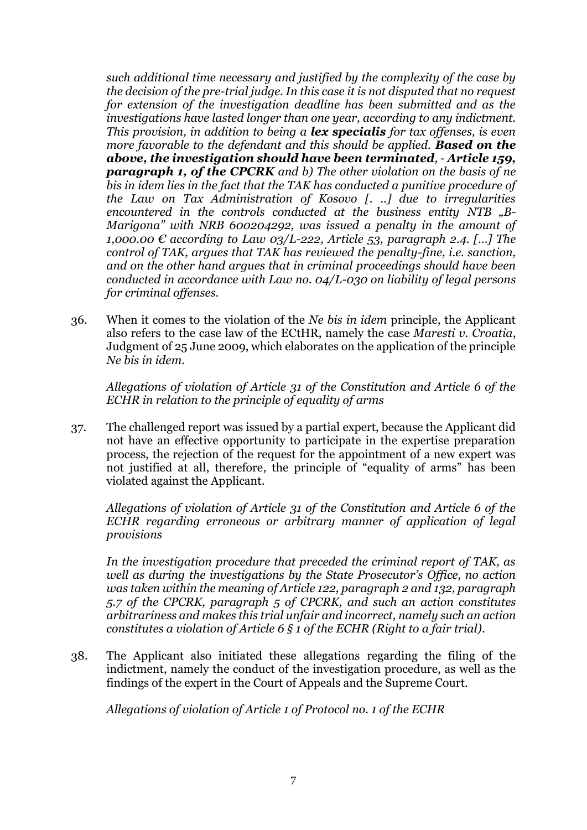*such additional time necessary and justified by the complexity of the case by the decision of the pre-trial judge. In this case it is not disputed that no request for extension of the investigation deadline has been submitted and as the investigations have lasted longer than one year, according to any indictment. This provision, in addition to being a lex specialis for tax offenses, is even more favorable to the defendant and this should be applied. Based on the above, the investigation should have been terminated, - Article 159, paragraph 1, of the CPCRK and b) The other violation on the basis of ne bis in idem lies in the fact that the TAK has conducted a punitive procedure of the Law on Tax Administration of Kosovo [. ..] due to irregularities encountered in the controls conducted at the business entity NTB "B-Marigona" with NRB 600204292, was issued a penalty in the amount of 1,000.00 € according to Law 03/L-222, Article 53, paragraph 2.4. […] The control of TAK, argues that TAK has reviewed the penalty-fine, i.e. sanction, and on the other hand argues that in criminal proceedings should have been conducted in accordance with Law no. 04/L-030 on liability of legal persons for criminal offenses.*

36. When it comes to the violation of the *Ne bis in idem* principle, the Applicant also refers to the case law of the ECtHR, namely the case *Maresti v. Croatia*, Judgment of 25 June 2009, which elaborates on the application of the principle *Ne bis in idem*.

*Allegations of violation of Article 31 of the Constitution and Article 6 of the ECHR in relation to the principle of equality of arms*

37. The challenged report was issued by a partial expert, because the Applicant did not have an effective opportunity to participate in the expertise preparation process, the rejection of the request for the appointment of a new expert was not justified at all, therefore, the principle of "equality of arms" has been violated against the Applicant.

*Allegations of violation of Article 31 of the Constitution and Article 6 of the ECHR regarding erroneous or arbitrary manner of application of legal provisions*

*In the investigation procedure that preceded the criminal report of TAK, as well as during the investigations by the State Prosecutor's Office, no action was taken within the meaning of Article 122, paragraph 2 and 132, paragraph 5.7 of the CPCRK, paragraph 5 of CPCRK, and such an action constitutes arbitrariness and makes this trial unfair and incorrect, namely such an action constitutes a violation of Article 6 § 1 of the ECHR (Right to a fair trial).*

38. The Applicant also initiated these allegations regarding the filing of the indictment, namely the conduct of the investigation procedure, as well as the findings of the expert in the Court of Appeals and the Supreme Court.

*Allegations of violation of Article 1 of Protocol no. 1 of the ECHR*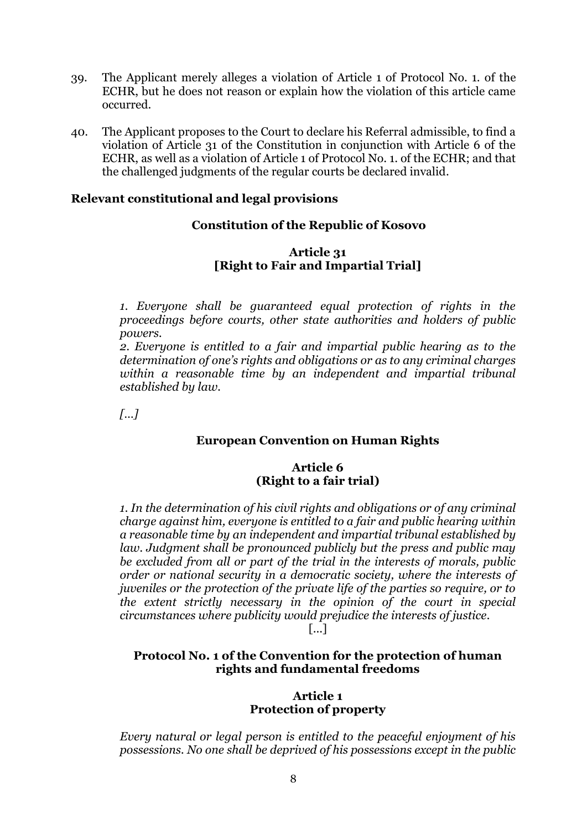- 39. The Applicant merely alleges a violation of Article 1 of Protocol No. 1. of the ECHR, but he does not reason or explain how the violation of this article came occurred.
- 40. The Applicant proposes to the Court to declare his Referral admissible, to find a violation of Article 31 of the Constitution in conjunction with Article 6 of the ECHR, as well as a violation of Article 1 of Protocol No. 1. of the ECHR; and that the challenged judgments of the regular courts be declared invalid.

### **Relevant constitutional and legal provisions**

# **Constitution of the Republic of Kosovo**

### **Article 31 [Right to Fair and Impartial Trial]**

*1. Everyone shall be guaranteed equal protection of rights in the proceedings before courts, other state authorities and holders of public powers.* 

*2. Everyone is entitled to a fair and impartial public hearing as to the determination of one's rights and obligations or as to any criminal charges within a reasonable time by an independent and impartial tribunal established by law.*

*[…]*

# **European Convention on Human Rights**

#### **Article 6 (Right to a fair trial)**

*1. In the determination of his civil rights and obligations or of any criminal charge against him, everyone is entitled to a fair and public hearing within a reasonable time by an independent and impartial tribunal established by*  law. Judgment shall be pronounced publicly but the press and public may *be excluded from all or part of the trial in the interests of morals, public order or national security in a democratic society, where the interests of juveniles or the protection of the private life of the parties so require, or to the extent strictly necessary in the opinion of the court in special circumstances where publicity would prejudice the interests of justice.* 

[...]

# **Protocol No. 1 of the Convention for the protection of human rights and fundamental freedoms**

#### **Article 1 Protection of property**

*Every natural or legal person is entitled to the peaceful enjoyment of his possessions. No one shall be deprived of his possessions except in the public*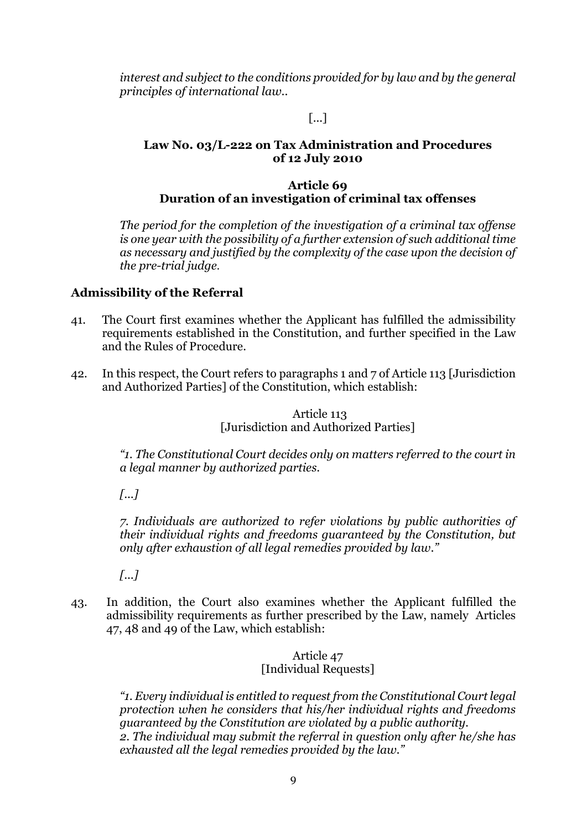*interest and subject to the conditions provided for by law and by the general principles of international law..*

# [...]

### **Law No. 03/L-222 on Tax Administration and Procedures of 12 July 2010**

### **Article 69 Duration of an investigation of criminal tax offenses**

*The period for the completion of the investigation of a criminal tax offense is one year with the possibility of a further extension of such additional time as necessary and justified by the complexity of the case upon the decision of the pre-trial judge*.

# **Admissibility of the Referral**

- 41. The Court first examines whether the Applicant has fulfilled the admissibility requirements established in the Constitution, and further specified in the Law and the Rules of Procedure.
- 42. In this respect, the Court refers to paragraphs 1 and 7 of Article 113 [Jurisdiction and Authorized Parties] of the Constitution, which establish:

Article 113 [Jurisdiction and Authorized Parties]

*"1. The Constitutional Court decides only on matters referred to the court in a legal manner by authorized parties.*

*[...]*

*7. Individuals are authorized to refer violations by public authorities of their individual rights and freedoms guaranteed by the Constitution, but only after exhaustion of all legal remedies provided by law."*

*[...]*

43. In addition, the Court also examines whether the Applicant fulfilled the admissibility requirements as further prescribed by the Law, namely Articles 47, 48 and 49 of the Law, which establish:

### Article 47 [Individual Requests]

*"1. Every individual is entitled to request from the Constitutional Court legal protection when he considers that his/her individual rights and freedoms guaranteed by the Constitution are violated by a public authority. 2. The individual may submit the referral in question only after he/she has exhausted all the legal remedies provided by the law."*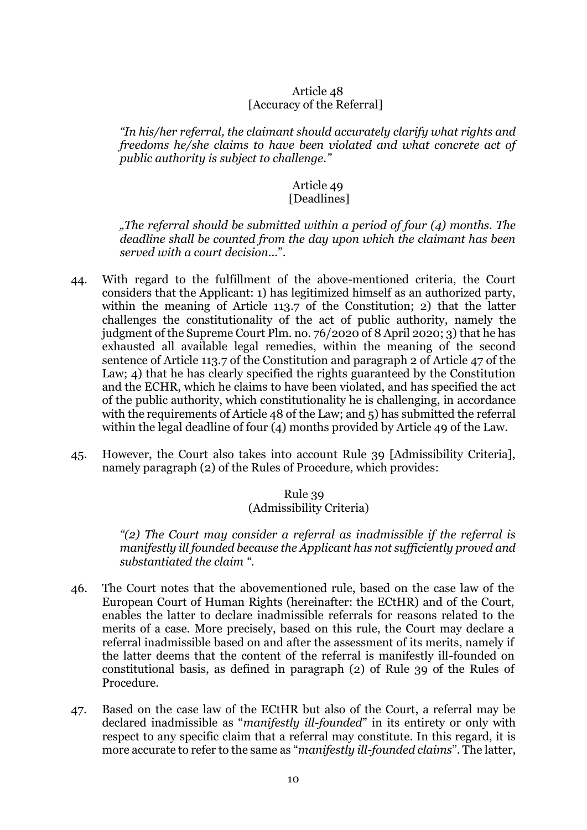#### Article 48 [Accuracy of the Referral]

*"In his/her referral, the claimant should accurately clarify what rights and freedoms he/she claims to have been violated and what concrete act of public authority is subject to challenge."* 

#### Article 49 [Deadlines]

*"The referral should be submitted within a period of four (4) months. The deadline shall be counted from the day upon which the claimant has been served with a court decision*...".

- 44. With regard to the fulfillment of the above-mentioned criteria, the Court considers that the Applicant: 1) has legitimized himself as an authorized party, within the meaning of Article 113.7 of the Constitution; 2) that the latter challenges the constitutionality of the act of public authority, namely the judgment of the Supreme Court Plm. no. 76/2020 of 8 April 2020; 3) that he has exhausted all available legal remedies, within the meaning of the second sentence of Article 113.7 of the Constitution and paragraph 2 of Article 47 of the Law; 4) that he has clearly specified the rights guaranteed by the Constitution and the ECHR, which he claims to have been violated, and has specified the act of the public authority, which constitutionality he is challenging, in accordance with the requirements of Article 48 of the Law; and 5) has submitted the referral within the legal deadline of four (4) months provided by Article 49 of the Law.
- 45. However, the Court also takes into account Rule 39 [Admissibility Criteria], namely paragraph (2) of the Rules of Procedure, which provides:

### Rule 39 (Admissibility Criteria)

*"(2) The Court may consider a referral as inadmissible if the referral is manifestly ill founded because the Applicant has not sufficiently proved and substantiated the claim ".*

- 46. The Court notes that the abovementioned rule, based on the case law of the European Court of Human Rights (hereinafter: the ECtHR) and of the Court, enables the latter to declare inadmissible referrals for reasons related to the merits of a case. More precisely, based on this rule, the Court may declare a referral inadmissible based on and after the assessment of its merits, namely if the latter deems that the content of the referral is manifestly ill-founded on constitutional basis, as defined in paragraph (2) of Rule 39 of the Rules of Procedure.
- 47. Based on the case law of the ECtHR but also of the Court, a referral may be declared inadmissible as "*manifestly ill-founded*" in its entirety or only with respect to any specific claim that a referral may constitute. In this regard, it is more accurate to refer to the same as "*manifestly ill-founded claims*". The latter,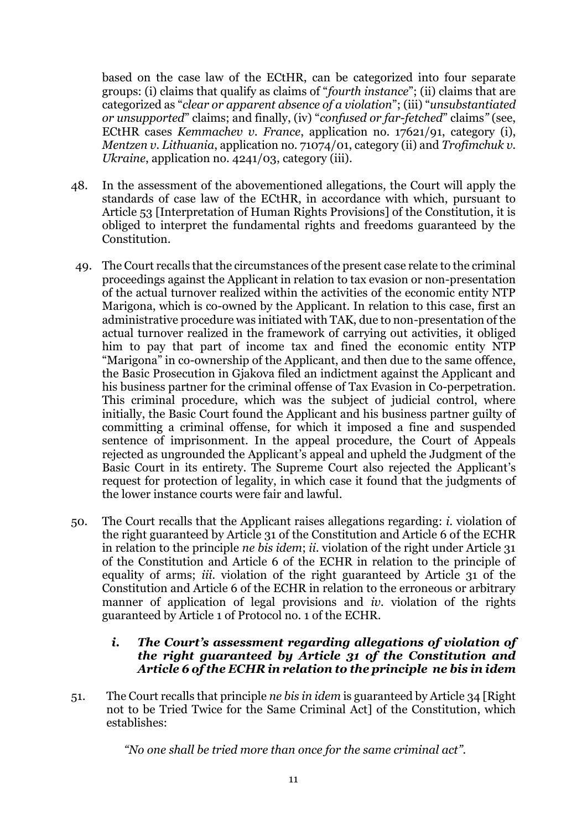based on the case law of the ECtHR, can be categorized into four separate groups: (i) claims that qualify as claims of "*fourth instance*"; (ii) claims that are categorized as "*clear or apparent absence of a violation*"; (iii) "*unsubstantiated or unsupported*" claims; and finally, (iv) "*confused or far-fetched*" claims*"* (see, ECtHR cases *Kemmachev v. France*, application no. 17621/91, category (i), *Mentzen v. Lithuania*, application no. 71074/01, category (ii) and *Trofimchuk v. Ukraine*, application no. 4241/03, category (iii).

- 48. In the assessment of the abovementioned allegations, the Court will apply the standards of case law of the ECtHR, in accordance with which, pursuant to Article 53 [Interpretation of Human Rights Provisions] of the Constitution, it is obliged to interpret the fundamental rights and freedoms guaranteed by the Constitution.
- 49. The Court recalls that the circumstances of the present case relate to the criminal proceedings against the Applicant in relation to tax evasion or non-presentation of the actual turnover realized within the activities of the economic entity NTP Marigona, which is co-owned by the Applicant. In relation to this case, first an administrative procedure was initiated with TAK, due to non-presentation of the actual turnover realized in the framework of carrying out activities, it obliged him to pay that part of income tax and fined the economic entity NTP "Marigona" in co-ownership of the Applicant, and then due to the same offence, the Basic Prosecution in Gjakova filed an indictment against the Applicant and his business partner for the criminal offense of Tax Evasion in Co-perpetration. This criminal procedure, which was the subject of judicial control, where initially, the Basic Court found the Applicant and his business partner guilty of committing a criminal offense, for which it imposed a fine and suspended sentence of imprisonment. In the appeal procedure, the Court of Appeals rejected as ungrounded the Applicant's appeal and upheld the Judgment of the Basic Court in its entirety. The Supreme Court also rejected the Applicant's request for protection of legality, in which case it found that the judgments of the lower instance courts were fair and lawful.
- 50. The Court recalls that the Applicant raises allegations regarding: *i.* violation of the right guaranteed by Article 31 of the Constitution and Article 6 of the ECHR in relation to the principle *ne bis idem*; *ii.* violation of the right under Article 31 of the Constitution and Article 6 of the ECHR in relation to the principle of equality of arms; *iii.* violation of the right guaranteed by Article 31 of the Constitution and Article 6 of the ECHR in relation to the erroneous or arbitrary manner of application of legal provisions and *iv.* violation of the rights guaranteed by Article 1 of Protocol no. 1 of the ECHR.

### *i. The Court's assessment regarding allegations of violation of the right guaranteed by Article 31 of the Constitution and Article 6 of the ECHR in relation to the principle ne bis in idem*

51. The Court recalls that principle *ne bis in idem* is guaranteed by Article 34 [Right not to be Tried Twice for the Same Criminal Act] of the Constitution, which establishes:

*"No one shall be tried more than once for the same criminal act".*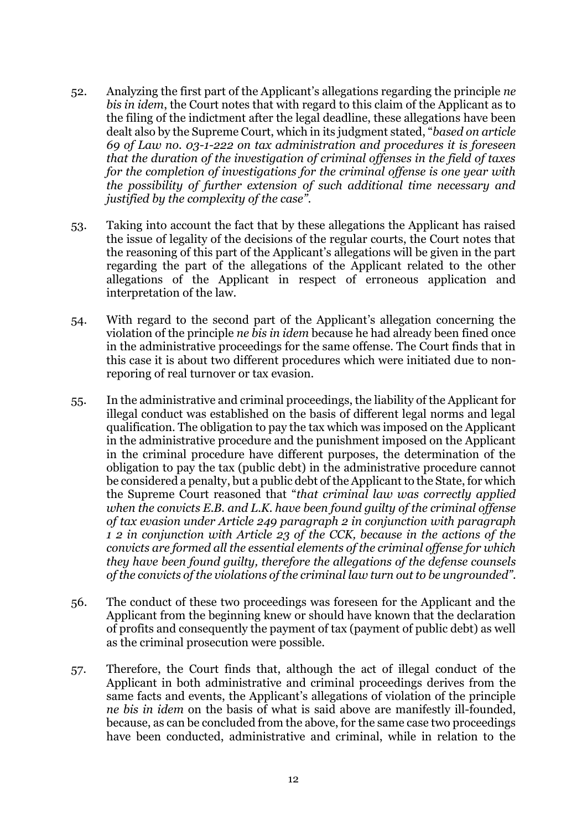- 52. Analyzing the first part of the Applicant's allegations regarding the principle *ne bis in idem*, the Court notes that with regard to this claim of the Applicant as to the filing of the indictment after the legal deadline, these allegations have been dealt also by the Supreme Court, which in its judgment stated, "*based on article 69 of Law no. 03-1-222 on tax administration and procedures it is foreseen that the duration of the investigation of criminal offenses in the field of taxes for the completion of investigations for the criminal offense is one year with the possibility of further extension of such additional time necessary and justified by the complexity of the case"*.
- 53. Taking into account the fact that by these allegations the Applicant has raised the issue of legality of the decisions of the regular courts, the Court notes that the reasoning of this part of the Applicant's allegations will be given in the part regarding the part of the allegations of the Applicant related to the other allegations of the Applicant in respect of erroneous application and interpretation of the law.
- 54. With regard to the second part of the Applicant's allegation concerning the violation of the principle *ne bis in idem* because he had already been fined once in the administrative proceedings for the same offense. The Court finds that in this case it is about two different procedures which were initiated due to nonreporing of real turnover or tax evasion.
- 55. In the administrative and criminal proceedings, the liability of the Applicant for illegal conduct was established on the basis of different legal norms and legal qualification. The obligation to pay the tax which was imposed on the Applicant in the administrative procedure and the punishment imposed on the Applicant in the criminal procedure have different purposes, the determination of the obligation to pay the tax (public debt) in the administrative procedure cannot be considered a penalty, but a public debt of the Applicant to the State, for which the Supreme Court reasoned that "*that criminal law was correctly applied when the convicts E.B. and L.K. have been found guilty of the criminal offense of tax evasion under Article 249 paragraph 2 in conjunction with paragraph 1 2 in conjunction with Article 23 of the CCK, because in the actions of the convicts are formed all the essential elements of the criminal offense for which they have been found guilty, therefore the allegations of the defense counsels of the convicts of the violations of the criminal law turn out to be ungrounded".*
- 56. The conduct of these two proceedings was foreseen for the Applicant and the Applicant from the beginning knew or should have known that the declaration of profits and consequently the payment of tax (payment of public debt) as well as the criminal prosecution were possible.
- 57. Therefore, the Court finds that, although the act of illegal conduct of the Applicant in both administrative and criminal proceedings derives from the same facts and events, the Applicant's allegations of violation of the principle *ne bis in idem* on the basis of what is said above are manifestly ill-founded, because, as can be concluded from the above, for the same case two proceedings have been conducted, administrative and criminal, while in relation to the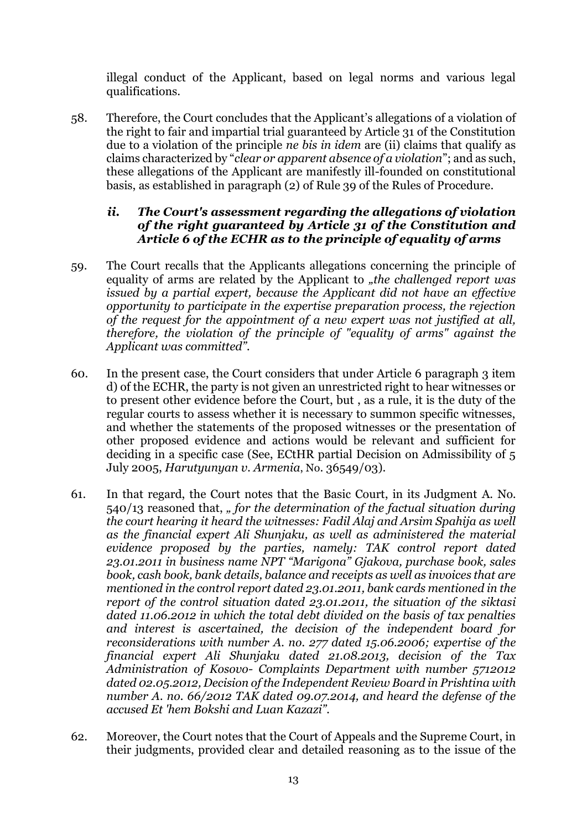illegal conduct of the Applicant, based on legal norms and various legal qualifications.

58. Therefore, the Court concludes that the Applicant's allegations of a violation of the right to fair and impartial trial guaranteed by Article 31 of the Constitution due to a violation of the principle *ne bis in idem* are (ii) claims that qualify as claims characterized by "*clear or apparent absence of a violation*"; and as such, these allegations of the Applicant are manifestly ill-founded on constitutional basis, as established in paragraph (2) of Rule 39 of the Rules of Procedure.

### *ii. The Court's assessment regarding the allegations of violation of the right guaranteed by Article 31 of the Constitution and Article 6 of the ECHR as to the principle of equality of arms*

- 59. The Court recalls that the Applicants allegations concerning the principle of equality of arms are related by the Applicant to *"the challenged report was issued by a partial expert, because the Applicant did not have an effective opportunity to participate in the expertise preparation process, the rejection of the request for the appointment of a new expert was not justified at all, therefore, the violation of the principle of "equality of arms" against the Applicant was committed".*
- 60. In the present case, the Court considers that under Article 6 paragraph 3 item d) of the ECHR, the party is not given an unrestricted right to hear witnesses or to present other evidence before the Court, but , as a rule, it is the duty of the regular courts to assess whether it is necessary to summon specific witnesses, and whether the statements of the proposed witnesses or the presentation of other proposed evidence and actions would be relevant and sufficient for deciding in a specific case (See, ECtHR partial Decision on Admissibility of 5 July 2005, *Harutyunyan v. Armenia*, No. 36549/03).
- 61. In that regard, the Court notes that the Basic Court, in its Judgment A. No. 540/13 reasoned that, *" for the determination of the factual situation during the court hearing it heard the witnesses: Fadil Alaj and Arsim Spahija as well as the financial expert Ali Shunjaku, as well as administered the material evidence proposed by the parties, namely: TAK control report dated 23.01.2011 in business name NPT "Marigona" Gjakova, purchase book, sales book, cash book, bank details, balance and receipts as well as invoices that are mentioned in the control report dated 23.01.2011, bank cards mentioned in the report of the control situation dated 23.01.2011, the situation of the siktasi dated 11.06.2012 in which the total debt divided on the basis of tax penalties and interest is ascertained, the decision of the independent board for reconsiderations with number A. no. 277 dated 15.06.2006; expertise of the financial expert Ali Shunjaku dated 21.08.2013, decision of the Tax Administration of Kosovo- Complaints Department with number 5712012 dated 02.05.2012, Decision of the Independent Review Board in Prishtina with number A. no. 66/2012 TAK dated 09.07.2014, and heard the defense of the accused Et 'hem Bokshi and Luan Kazazi".*
- 62. Moreover, the Court notes that the Court of Appeals and the Supreme Court, in their judgments, provided clear and detailed reasoning as to the issue of the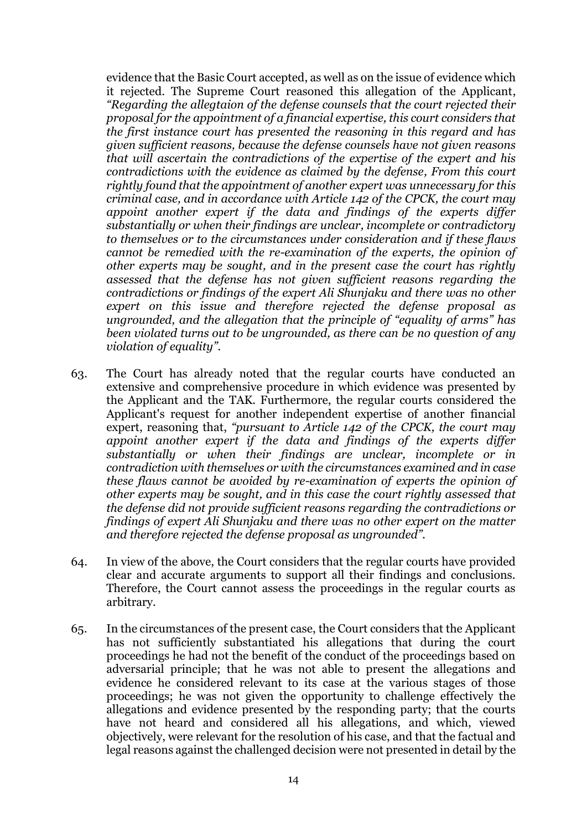evidence that the Basic Court accepted, as well as on the issue of evidence which it rejected. The Supreme Court reasoned this allegation of the Applicant, *"Regarding the allegtaion of the defense counsels that the court rejected their proposal for the appointment of a financial expertise, this court considers that the first instance court has presented the reasoning in this regard and has given sufficient reasons, because the defense counsels have not given reasons that will ascertain the contradictions of the expertise of the expert and his contradictions with the evidence as claimed by the defense, From this court rightly found that the appointment of another expert was unnecessary for this criminal case, and in accordance with Article 142 of the CPCK, the court may appoint another expert if the data and findings of the experts differ substantially or when their findings are unclear, incomplete or contradictory to themselves or to the circumstances under consideration and if these flaws cannot be remedied with the re-examination of the experts, the opinion of other experts may be sought, and in the present case the court has rightly assessed that the defense has not given sufficient reasons regarding the contradictions or findings of the expert Ali Shunjaku and there was no other expert on this issue and therefore rejected the defense proposal as ungrounded, and the allegation that the principle of "equality of arms" has been violated turns out to be ungrounded, as there can be no question of any violation of equality".*

- 63. The Court has already noted that the regular courts have conducted an extensive and comprehensive procedure in which evidence was presented by the Applicant and the TAK. Furthermore, the regular courts considered the Applicant's request for another independent expertise of another financial expert, reasoning that, *"pursuant to Article 142 of the CPCK, the court may appoint another expert if the data and findings of the experts differ substantially or when their findings are unclear, incomplete or in contradiction with themselves or with the circumstances examined and in case these flaws cannot be avoided by re-examination of experts the opinion of other experts may be sought, and in this case the court rightly assessed that the defense did not provide sufficient reasons regarding the contradictions or findings of expert Ali Shunjaku and there was no other expert on the matter and therefore rejected the defense proposal as ungrounded".*
- 64. In view of the above, the Court considers that the regular courts have provided clear and accurate arguments to support all their findings and conclusions. Therefore, the Court cannot assess the proceedings in the regular courts as arbitrary.
- 65. In the circumstances of the present case, the Court considers that the Applicant has not sufficiently substantiated his allegations that during the court proceedings he had not the benefit of the conduct of the proceedings based on adversarial principle; that he was not able to present the allegations and evidence he considered relevant to its case at the various stages of those proceedings; he was not given the opportunity to challenge effectively the allegations and evidence presented by the responding party; that the courts have not heard and considered all his allegations, and which, viewed objectively, were relevant for the resolution of his case, and that the factual and legal reasons against the challenged decision were not presented in detail by the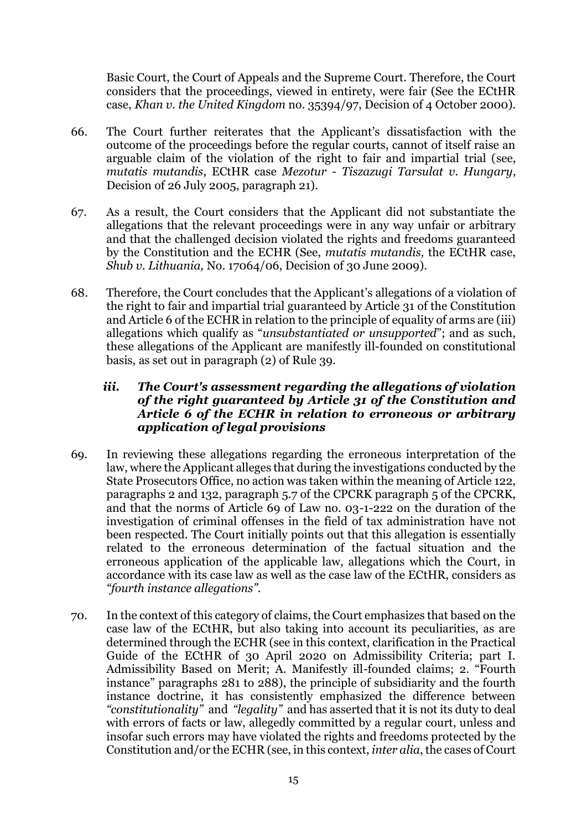Basic Court, the Court of Appeals and the Supreme Court. Therefore, the Court considers that the proceedings, viewed in entirety, were fair (See the ECtHR case, *Khan v. the United Kingdom* no. 35394/97, Decision of 4 October 2000).

- 66. The Court further reiterates that the Applicant's dissatisfaction with the outcome of the proceedings before the regular courts, cannot of itself raise an arguable claim of the violation of the right to fair and impartial trial (see, *mutatis mutandis*, ECtHR case *Mezotur - Tiszazugi Tarsulat v. Hungary*, Decision of 26 July 2005, paragraph 21).
- 67. As a result, the Court considers that the Applicant did not substantiate the allegations that the relevant proceedings were in any way unfair or arbitrary and that the challenged decision violated the rights and freedoms guaranteed by the Constitution and the ECHR (See, *mutatis mutandis,* the ECtHR case, *Shub v. Lithuania,* No. 17064/06, Decision of 30 June 2009).
- 68. Therefore, the Court concludes that the Applicant's allegations of a violation of the right to fair and impartial trial guaranteed by Article 31 of the Constitution and Article 6 of the ECHR in relation to the principle of equality of arms are (iii) allegations which qualify as "*unsubstantiated or unsupported*"; and as such, these allegations of the Applicant are manifestly ill-founded on constitutional basis, as set out in paragraph (2) of Rule 39.

### *iii. The Court's assessment regarding the allegations of violation of the right guaranteed by Article 31 of the Constitution and Article 6 of the ECHR in relation to erroneous or arbitrary application of legal provisions*

- 69. In reviewing these allegations regarding the erroneous interpretation of the law, where the Applicant alleges that during the investigations conducted by the State Prosecutors Office, no action was taken within the meaning of Article 122, paragraphs 2 and 132, paragraph 5.7 of the CPCRK paragraph 5 of the CPCRK, and that the norms of Article 69 of Law no. 03-1-222 on the duration of the investigation of criminal offenses in the field of tax administration have not been respected. The Court initially points out that this allegation is essentially related to the erroneous determination of the factual situation and the erroneous application of the applicable law, allegations which the Court, in accordance with its case law as well as the case law of the ECtHR, considers as *"fourth instance allegations".*
- 70. In the context of this category of claims, the Court emphasizes that based on the case law of the ECtHR, but also taking into account its peculiarities, as are determined through the ECHR (see in this context, clarification in the Practical Guide of the ECtHR of 30 April 2020 on Admissibility Criteria; part I. Admissibility Based on Merit; A. Manifestly ill-founded claims; 2. "Fourth instance" paragraphs 281 to 288), the principle of subsidiarity and the fourth instance doctrine, it has consistently emphasized the difference between *"constitutionality"* and *"legality"* and has asserted that it is not its duty to deal with errors of facts or law, allegedly committed by a regular court, unless and insofar such errors may have violated the rights and freedoms protected by the Constitution and/or the ECHR (see, in this context, *inter alia*, the cases of Court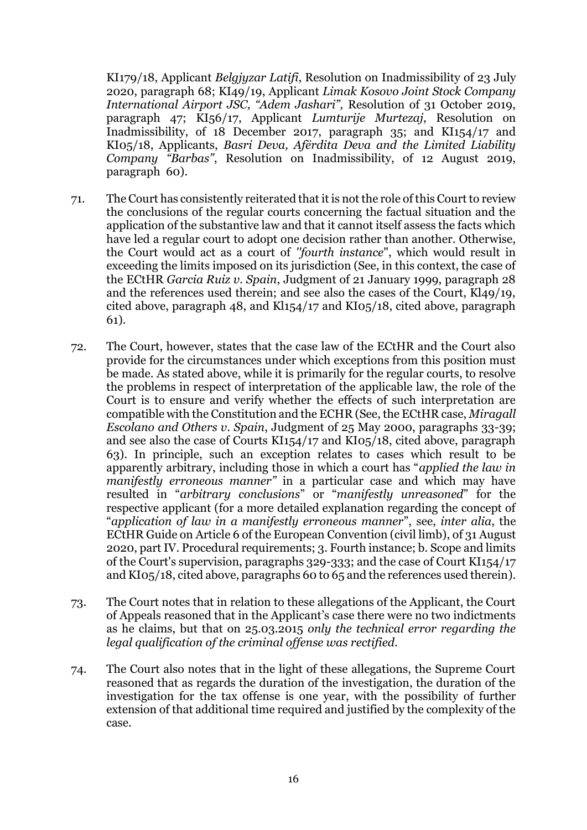KI179/18, Applicant *Belgjyzar Latifi*, Resolution on Inadmissibility of 23 July 2020, paragraph 68; KI49/19, Applicant *Limak Kosovo Joint Stock Company International Airport JSC, "Adem Jashari",* Resolution of 31 October 2019, paragraph 47; KI56/17, Applicant *Lumturije Murtezaj*, Resolution on Inadmissibility, of 18 December 2017, paragraph 35; and KI154/17 and KI05/18, Applicants, *Basri Deva, Afërdita Deva and the Limited Liability Company "Barbas"*, Resolution on Inadmissibility, of 12 August 2019, paragraph 60).

- 71. The Court has consistently reiterated that it is not the role of this Court to review the conclusions of the regular courts concerning the factual situation and the application of the substantive law and that it cannot itself assess the facts which have led a regular court to adopt one decision rather than another. Otherwise, the Court would act as a court of *''fourth instance*", which would result in exceeding the limits imposed on its jurisdiction (See, in this context, the case of the ECtHR *Garcia Ruiz v. Spain*, Judgment of 21 January 1999, paragraph 28 and the references used therein; and see also the cases of the Court, Kl49/19, cited above, paragraph 48, and Kl154/17 and KI05/18, cited above, paragraph 61).
- 72. The Court, however, states that the case law of the ECtHR and the Court also provide for the circumstances under which exceptions from this position must be made. As stated above, while it is primarily for the regular courts, to resolve the problems in respect of interpretation of the applicable law, the role of the Court is to ensure and verify whether the effects of such interpretation are compatible with the Constitution and the ECHR (See, the ECtHR case, *Miragall Escolano and Others v. Spain*, Judgment of 25 May 2000, paragraphs 33-39; and see also the case of Courts KI154/17 and KI05/18, cited above, paragraph 63). In principle, such an exception relates to cases which result to be apparently arbitrary, including those in which a court has "*applied the law in manifestly erroneous manner"* in a particular case and which may have resulted in "*arbitrary conclusions*" or "*manifestly unreasoned*" for the respective applicant (for a more detailed explanation regarding the concept of "*application of law in a manifestly erroneous manner*", see, *inter alia*, the ECtHR Guide on Article 6 of the European Convention (civil limb), of 31 August 2020, part IV. Procedural requirements; 3. Fourth instance; b. Scope and limits of the Court's supervision, paragraphs 329-333; and the case of Court KI154/17 and KI05/18, cited above, paragraphs 60 to 65 and the references used therein).
- 73. The Court notes that in relation to these allegations of the Applicant, the Court of Appeals reasoned that in the Applicant's case there were no two indictments as he claims, but that on 25.03.2015 *only the technical error regarding the legal qualification of the criminal offense was rectified*.
- 74. The Court also notes that in the light of these allegations, the Supreme Court reasoned that as regards the duration of the investigation, the duration of the investigation for the tax offense is one year, with the possibility of further extension of that additional time required and justified by the complexity of the case.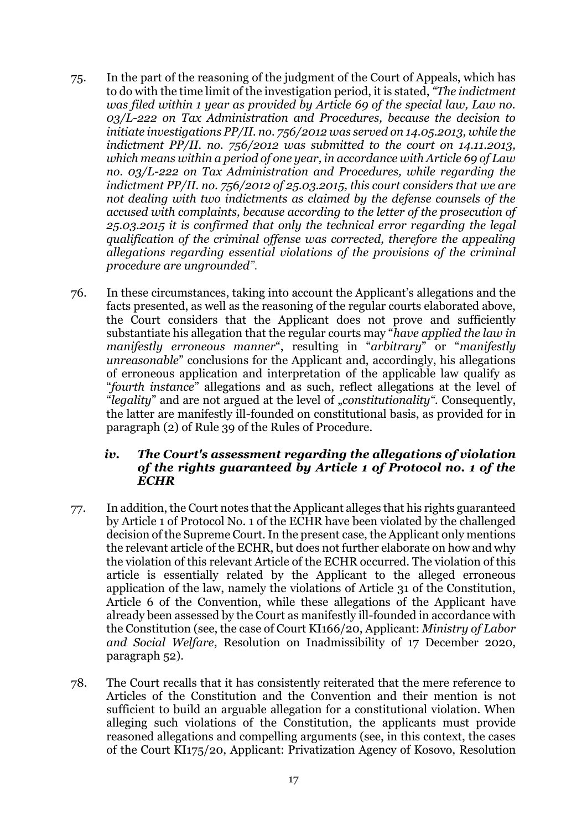- 75. In the part of the reasoning of the judgment of the Court of Appeals, which has to do with the time limit of the investigation period, it is stated, *"The indictment was filed within 1 year as provided by Article 69 of the special law, Law no. 03/L-222 on Tax Administration and Procedures, because the decision to initiate investigations PP/II. no. 756/2012 was served on 14.05.2013, while the indictment PP/II. no. 756/2012 was submitted to the court on 14.11.2013, which means within a period of one year, in accordance with Article 69 of Law no. 03/L-222 on Tax Administration and Procedures, while regarding the indictment PP/II. no. 756/2012 of 25.03.2015, this court considers that we are not dealing with two indictments as claimed by the defense counsels of the accused with complaints, because according to the letter of the prosecution of 25.03.2015 it is confirmed that only the technical error regarding the legal qualification of the criminal offense was corrected, therefore the appealing allegations regarding essential violations of the provisions of the criminal procedure are ungrounded".*
- 76. In these circumstances, taking into account the Applicant's allegations and the facts presented, as well as the reasoning of the regular courts elaborated above, the Court considers that the Applicant does not prove and sufficiently substantiate his allegation that the regular courts may "*have applied the law in manifestly erroneous manner*", resulting in "*arbitrary*" or "*manifestly unreasonable*" conclusions for the Applicant and, accordingly, his allegations of erroneous application and interpretation of the applicable law qualify as "*fourth instance*" allegations and as such, reflect allegations at the level of "*legality*" and are not argued at the level of "*constitutionality".* Consequently, the latter are manifestly ill-founded on constitutional basis, as provided for in paragraph (2) of Rule 39 of the Rules of Procedure.

#### *iv. The Court's assessment regarding the allegations of violation of the rights guaranteed by Article 1 of Protocol no. 1 of the ECHR*

- 77. In addition, the Court notes that the Applicant alleges that his rights guaranteed by Article 1 of Protocol No. 1 of the ECHR have been violated by the challenged decision of the Supreme Court. In the present case, the Applicant only mentions the relevant article of the ECHR, but does not further elaborate on how and why the violation of this relevant Article of the ECHR occurred. The violation of this article is essentially related by the Applicant to the alleged erroneous application of the law, namely the violations of Article 31 of the Constitution, Article 6 of the Convention, while these allegations of the Applicant have already been assessed by the Court as manifestly ill-founded in accordance with the Constitution (see, the case of Court KI166/20, Applicant: *Ministry of Labor and Social Welfare*, Resolution on Inadmissibility of 17 December 2020, paragraph 52).
- 78. The Court recalls that it has consistently reiterated that the mere reference to Articles of the Constitution and the Convention and their mention is not sufficient to build an arguable allegation for a constitutional violation. When alleging such violations of the Constitution, the applicants must provide reasoned allegations and compelling arguments (see, in this context, the cases of the Court KI175/20, Applicant: Privatization Agency of Kosovo, Resolution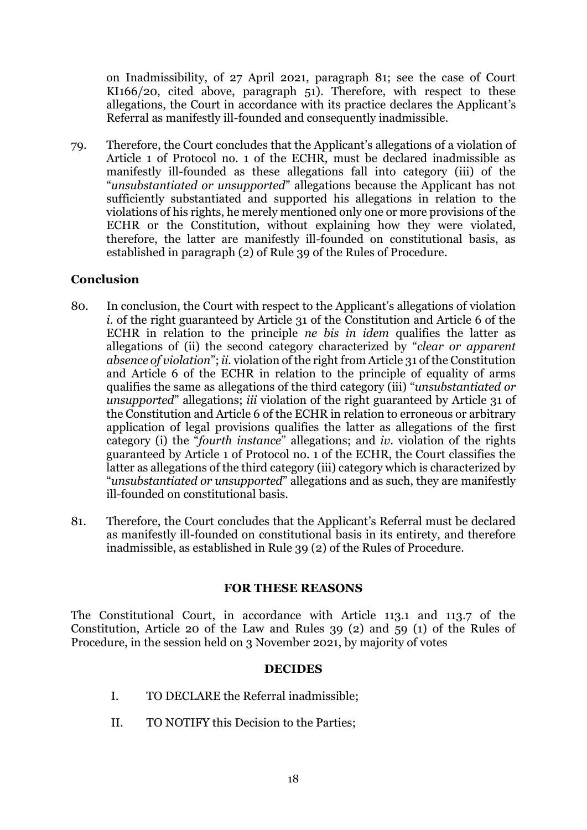on Inadmissibility, of 27 April 2021, paragraph 81; see the case of Court KI166/20, cited above, paragraph 51). Therefore, with respect to these allegations, the Court in accordance with its practice declares the Applicant's Referral as manifestly ill-founded and consequently inadmissible.

79. Therefore, the Court concludes that the Applicant's allegations of a violation of Article 1 of Protocol no. 1 of the ECHR, must be declared inadmissible as manifestly ill-founded as these allegations fall into category (iii) of the "*unsubstantiated or unsupported*" allegations because the Applicant has not sufficiently substantiated and supported his allegations in relation to the violations of his rights, he merely mentioned only one or more provisions of the ECHR or the Constitution, without explaining how they were violated, therefore, the latter are manifestly ill-founded on constitutional basis, as established in paragraph (2) of Rule 39 of the Rules of Procedure.

### **Conclusion**

- 80. In conclusion, the Court with respect to the Applicant's allegations of violation *i.* of the right guaranteed by Article 31 of the Constitution and Article 6 of the ECHR in relation to the principle *ne bis in idem* qualifies the latter as allegations of (ii) the second category characterized by "*clear or apparent absence of violation*"; *ii.* violation of the right from Article 31 of the Constitution and Article 6 of the ECHR in relation to the principle of equality of arms qualifies the same as allegations of the third category (iii) "*unsubstantiated or unsupported*" allegations; *iii* violation of the right guaranteed by Article 31 of the Constitution and Article 6 of the ECHR in relation to erroneous or arbitrary application of legal provisions qualifies the latter as allegations of the first category (i) the "*fourth instance*" allegations; and *iv*. violation of the rights guaranteed by Article 1 of Protocol no. 1 of the ECHR, the Court classifies the latter as allegations of the third category (iii) category which is characterized by "*unsubstantiated or unsupported*" allegations and as such, they are manifestly ill-founded on constitutional basis.
- 81. Therefore, the Court concludes that the Applicant's Referral must be declared as manifestly ill-founded on constitutional basis in its entirety, and therefore inadmissible, as established in Rule 39 (2) of the Rules of Procedure.

### **FOR THESE REASONS**

The Constitutional Court, in accordance with Article 113.1 and 113.7 of the Constitution, Article 20 of the Law and Rules 39 (2) and 59 (1) of the Rules of Procedure, in the session held on 3 November 2021, by majority of votes

#### **DECIDES**

- I. TO DECLARE the Referral inadmissible;
- II. TO NOTIFY this Decision to the Parties;